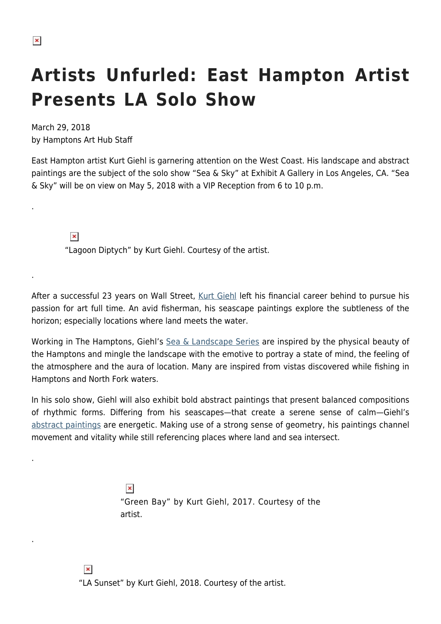.

.

.

.

## **Artists Unfurled: East Hampton Artist Presents LA Solo Show**

March 29, 2018 by Hamptons Art Hub Staff

East Hampton artist Kurt Giehl is garnering attention on the West Coast. His landscape and abstract paintings are the subject of the solo show "Sea & Sky" at Exhibit A Gallery in Los Angeles, CA. "Sea & Sky" will be on view on May 5, 2018 with a VIP Reception from 6 to 10 p.m.

 $\pmb{\times}$ "Lagoon Diptych" by Kurt Giehl. Courtesy of the artist.

After a successful 23 years on Wall Street, [Kurt Giehl](https://www.kurtgiehl.com/) left his financial career behind to pursue his passion for art full time. An avid fisherman, his seascape paintings explore the subtleness of the horizon; especially locations where land meets the water.

Working in The Hamptons, Giehl's [Sea & Landscape Series](https://www.kurtgiehl.com/#/graphic-design-2-1/) are inspired by the physical beauty of the Hamptons and mingle the landscape with the emotive to portray a state of mind, the feeling of the atmosphere and the aura of location. Many are inspired from vistas discovered while fishing in Hamptons and North Fork waters.

In his solo show, Giehl will also exhibit bold abstract paintings that present balanced compositions of rhythmic forms. Differing from his seascapes—that create a serene sense of calm—Giehl's [abstract paintings](https://www.kurtgiehl.com/#/graphic-design-2/) are energetic. Making use of a strong sense of geometry, his paintings channel movement and vitality while still referencing places where land and sea intersect.

> $\pmb{\times}$ "Green Bay" by Kurt Giehl, 2017. Courtesy of the artist.